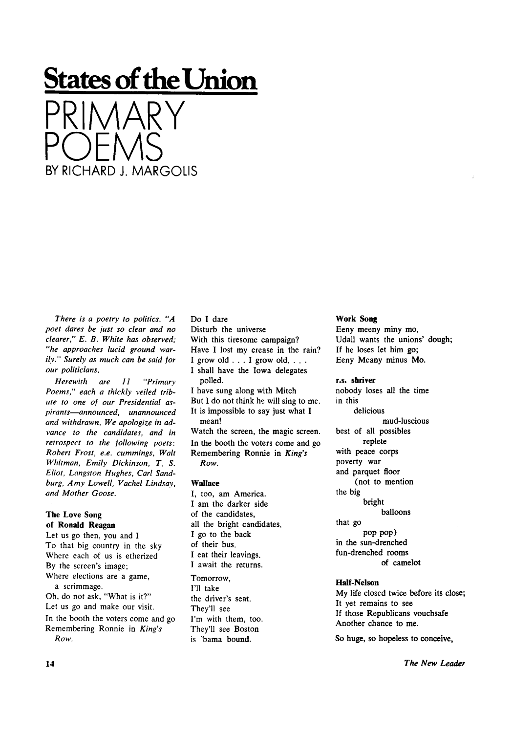# **States of the Union**

PRIMARY POEMS BY RICHARD J. MARGOLIS

*There is a poetry to politics. "A poet dares be just so clear and no clearer," E. B. White has observed; "he approaches lucid ground warily." Surely as much can be said for our politicians.* 

*Herewith are 11 "Primary Poems," each a thickly veiled tribute to one of our Presidential aspirants—announced, unannounced and withdrawn. We apologize in advance to the candidates, and in retrospect to the following poets: Robert Frost, e.e. cummings, Walt Whitman, Emily Dickinson, T. S. Eliot, Langston Hughes, Carl Sandburg, Amy Lowell, Vachel Lindsay, and Mother Goose.* 

#### **The Love Song of Ronald Reagan**

Let us go then, you and I To that big country in the sky Where each of us is etherized By the screen's image; Where elections are a game, a scrimmage. Oh, do not ask, "What is it?" Let us go and make our visit. In the booth the voters come and go Remembering Ronnie in *King's Row.* 

Do I dare Disturb the universe With this tiresome campaign? Have I lost my crease in the rain? I grow old  $\ldots$  I grow old.  $\ldots$ I shall have the Iowa delegates polled. I have sung along with Mitch But I do not think he will sing to me. It is impossible to say just what I mean! Watch the screen, the magic screen. In the booth the voters come and go Remembering Ronnie in *King's Row.* 

## **Wallace**

I, too, am America. I am the darker side of the candidates, all the bright candidates. I go to the back of their bus. I eat their leavings. I await the returns. Tomorrow, I'll take the driver's seat.

They'll see I'm with them, too. They'll see Boston is 'bama bound.

### **Work Song**

Eeny meeny miny mo, Udall wants the unions' dough; If he loses let him go; Eeny Meany minus Mo.

#### **r.s. shriver**

nobody loses all the time in this delicious mud-luscious best of all possibles replete with peace corps poverty war and parquet floor (not to mention the big bright balloons that go pop pop) in the sun-drenched fun-drenched rooms of camelot

## **Half-Nelson**

My life closed twice before its close; It yet remains to see If those Republicans vouchsafe Another chance to me.

So huge, so hopeless to conceive,